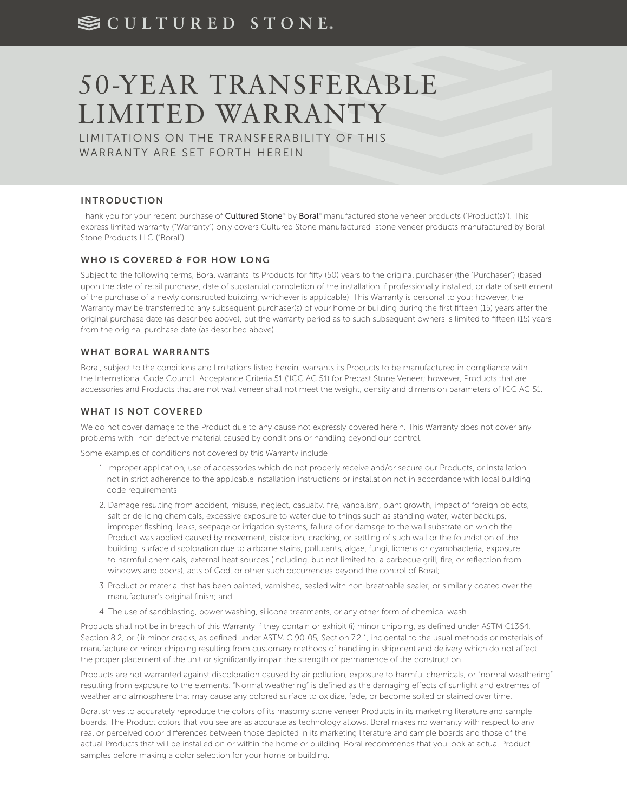# SCULTURED STONE.

# 50-YEAR TRANSFERABLE LIMITED WARRANTY

LIMITATIONS ON THE TRANSFERABILITY OF THIS WARRANTY ARE SET FORTH HEREIN

# INTRODUCTION

Thank you for your recent purchase of **Cultured Stone®** by **Boral®** manufactured stone veneer products ("Product(s)"). This express limited warranty ("Warranty") only covers Cultured Stone manufactured stone veneer products manufactured by Boral Stone Products LLC ("Boral").

#### WHO IS COVERED & FOR HOW LONG

Subject to the following terms, Boral warrants its Products for fifty (50) years to the original purchaser (the "Purchaser") (based upon the date of retail purchase, date of substantial completion of the installation if professionally installed, or date of settlement of the purchase of a newly constructed building, whichever is applicable). This Warranty is personal to you; however, the Warranty may be transferred to any subsequent purchaser(s) of your home or building during the first fifteen (15) years after the original purchase date (as described above), but the warranty period as to such subsequent owners is limited to fifteen (15) years from the original purchase date (as described above).

#### WHAT BORAL WARRANTS

Boral, subject to the conditions and limitations listed herein, warrants its Products to be manufactured in compliance with the International Code Council Acceptance Criteria 51 ("ICC AC 51) for Precast Stone Veneer; however, Products that are accessories and Products that are not wall veneer shall not meet the weight, density and dimension parameters of ICC AC 51.

# WHAT IS NOT COVERED

We do not cover damage to the Product due to any cause not expressly covered herein. This Warranty does not cover any problems with non-defective material caused by conditions or handling beyond our control.

Some examples of conditions not covered by this Warranty include:

- 1. Improper application, use of accessories which do not properly receive and/or secure our Products, or installation not in strict adherence to the applicable installation instructions or installation not in accordance with local building code requirements.
- 2. Damage resulting from accident, misuse, neglect, casualty, fire, vandalism, plant growth, impact of foreign objects, salt or de-icing chemicals, excessive exposure to water due to things such as standing water, water backups, improper flashing, leaks, seepage or irrigation systems, failure of or damage to the wall substrate on which the Product was applied caused by movement, distortion, cracking, or settling of such wall or the foundation of the building, surface discoloration due to airborne stains, pollutants, algae, fungi, lichens or cyanobacteria, exposure to harmful chemicals, external heat sources (including, but not limited to, a barbecue grill, fire, or reflection from windows and doors), acts of God, or other such occurrences beyond the control of Boral;
- 3. Product or material that has been painted, varnished, sealed with non-breathable sealer, or similarly coated over the manufacturer's original finish; and
- 4. The use of sandblasting, power washing, silicone treatments, or any other form of chemical wash.

Products shall not be in breach of this Warranty if they contain or exhibit (i) minor chipping, as defined under ASTM C1364, Section 8.2; or (ii) minor cracks, as defined under ASTM C 90-05, Section 7.2.1, incidental to the usual methods or materials of manufacture or minor chipping resulting from customary methods of handling in shipment and delivery which do not affect the proper placement of the unit or significantly impair the strength or permanence of the construction.

Products are not warranted against discoloration caused by air pollution, exposure to harmful chemicals, or "normal weathering" resulting from exposure to the elements. "Normal weathering" is defined as the damaging effects of sunlight and extremes of weather and atmosphere that may cause any colored surface to oxidize, fade, or become soiled or stained over time.

Boral strives to accurately reproduce the colors of its masonry stone veneer Products in its marketing literature and sample boards. The Product colors that you see are as accurate as technology allows. Boral makes no warranty with respect to any real or perceived color differences between those depicted in its marketing literature and sample boards and those of the actual Products that will be installed on or within the home or building. Boral recommends that you look at actual Product samples before making a color selection for your home or building.